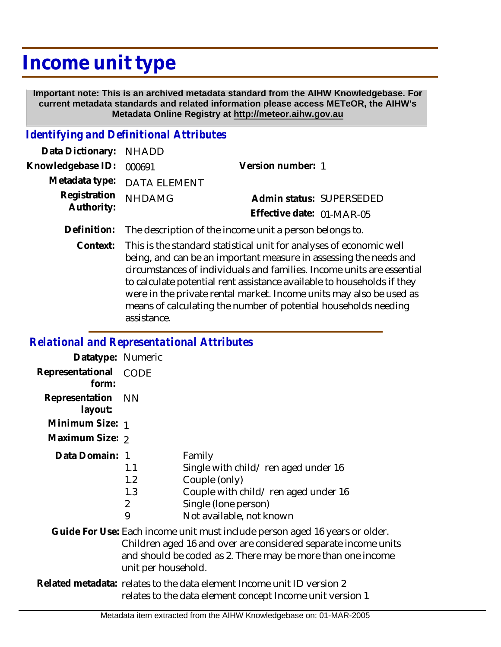## **Income unit type**

 **Important note: This is an archived metadata standard from the AIHW Knowledgebase. For current metadata standards and related information please access METeOR, the AIHW's Metadata Online Registry at http://meteor.aihw.gov.au**

## *Identifying and Definitional Attributes*

| Data Dictionary: NHADD            |                             |                           |  |
|-----------------------------------|-----------------------------|---------------------------|--|
| Knowledgebase ID: 000691          |                             | Version number: 1         |  |
|                                   | Metadata type: DATA ELEMENT |                           |  |
| Registration NHDAMG<br>Authority: |                             | Admin status: SUPERSEDED  |  |
|                                   |                             | Effective date: 01-MAR-05 |  |
|                                   |                             |                           |  |

**Definition:** The description of the income unit a person belongs to.

This is the standard statistical unit for analyses of economic well being, and can be an important measure in assessing the needs and circumstances of individuals and families. Income units are essential to calculate potential rent assistance available to households if they were in the private rental market. Income units may also be used as means of calculating the number of potential households needing assistance. **Context:**

## *Relational and Representational Attributes*

| Datatype: Numeric         |                                                                                                                                                                                                                                     |                                                                                                                                                           |
|---------------------------|-------------------------------------------------------------------------------------------------------------------------------------------------------------------------------------------------------------------------------------|-----------------------------------------------------------------------------------------------------------------------------------------------------------|
| Representational<br>form: | CODE                                                                                                                                                                                                                                |                                                                                                                                                           |
| Representation<br>layout: | <b>NN</b>                                                                                                                                                                                                                           |                                                                                                                                                           |
| Minimum Size: 1           |                                                                                                                                                                                                                                     |                                                                                                                                                           |
| Maximum Size: 2           |                                                                                                                                                                                                                                     |                                                                                                                                                           |
| Data Domain: 1            | 1.1<br>1.2<br>1.3<br>2<br>9                                                                                                                                                                                                         | Family<br>Single with child/ren aged under 16<br>Couple (only)<br>Couple with child/ren aged under 16<br>Single (lone person)<br>Not available, not known |
|                           | Guide For Use: Each income unit must include person aged 16 years or older.<br>Children aged 16 and over are considered separate income units<br>and should be coded as 2. There may be more than one income<br>unit per household. |                                                                                                                                                           |
|                           | Related metadata: relates to the data element Income unit ID version 2<br>relates to the data element concept Income unit version 1                                                                                                 |                                                                                                                                                           |